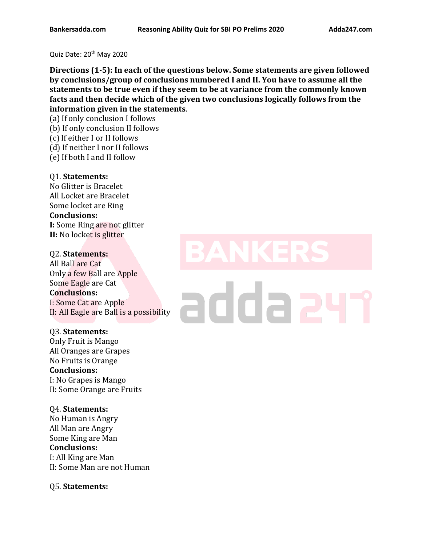Quiz Date: 20<sup>th</sup> May 2020

**Directions (1-5): In each of the questions below. Some statements are given followed by conclusions/group of conclusions numbered I and II. You have to assume all the statements to be true even if they seem to be at variance from the commonly known facts and then decide which of the given two conclusions logically follows from the information given in the statements**.

(a) If only conclusion I follows

(b) If only conclusion II follows

- (c) If either I or II follows
- (d) If neither I nor II follows
- (e) If both I and II follow

## Q1. **Statements:**

No Glitter is Bracelet All Locket are Bracelet Some locket are Ring **Conclusions: I:** Some Ring are not glitter **II:** No locket is glitter

## Q2. **Statements:**

All Ball are Cat Only a few Ball are Apple Some Eagle are Cat **Conclusions:** I: Some Cat are Apple II: All Eagle are Ball is a possibility

## Q3. **Statements:**

Only Fruit is Mango All Oranges are Grapes No Fruits is Orange **Conclusions:** I: No Grapes is Mango II: Some Orange are Fruits

## Q4. **Statements:**

No Human is Angry All Man are Angry Some King are Man **Conclusions:** I: All King are Man II: Some Man are not Human

## Q5. **Statements:**

## addaa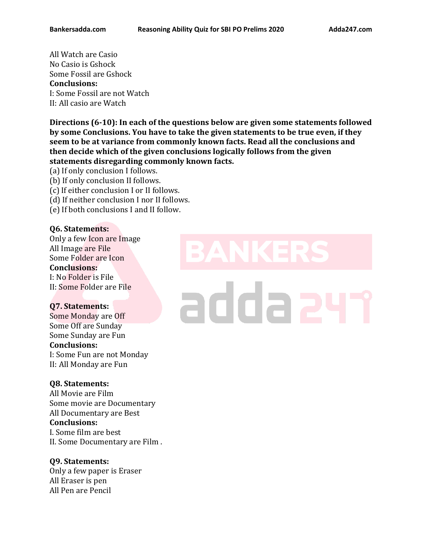All Watch are Casio No Casio is Gshock Some Fossil are Gshock **Conclusions:** I: Some Fossil are not Watch II: All casio are Watch

**Directions (6-10): In each of the questions below are given some statements followed by some Conclusions. You have to take the given statements to be true even, if they seem to be at variance from commonly known facts. Read all the conclusions and then decide which of the given conclusions logically follows from the given statements disregarding commonly known facts.** 

- (a) If only conclusion I follows.
- (b) If only conclusion II follows.
- (c) If either conclusion I or II follows.
- (d) If neither conclusion I nor II follows.
- (e) If both conclusions I and II follow.

## **Q6. Statements:**

Only a few Icon are Image All Image are File Some Folder are Icon **Conclusions:** I: No Folder is File II: Some Folder are File

## **Q7. Statements:**

Some Monday are Off Some Off are Sunday Some Sunday are Fun **Conclusions:** I: Some Fun are not Monday II: All Monday are Fun

## **Q8. Statements:**

All Movie are Film Some movie are Documentary All Documentary are Best **Conclusions:**  I. Some film are best II. Some Documentary are Film .

## **Q9. Statements:**

Only a few paper is Eraser All Eraser is pen All Pen are Pencil

# adda a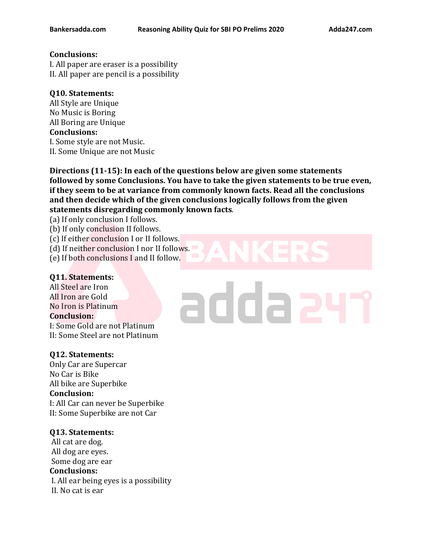## **Conclusions:**

I. All paper are eraser is a possibility II. All paper are pencil is a possibility

## **Q10. Statements:**

All Style are Unique No Music is Boring All Boring are Unique **Conclusions:**  I. Some style are not Music. II. Some Unique are not Music

**Directions (11-15): In each of the questions below are given some statements followed by some Conclusions. You have to take the given statements to be true even, if they seem to be at variance from commonly known facts. Read all the conclusions and then decide which of the given conclusions logically follows from the given statements disregarding commonly known facts**.

(a) If only conclusion I follows.

(b) If only conclusion II follows.

(c) If either conclusion I or II follows.

(d) If neither conclusion I nor II follows.

(e) If both conclusions I and II follow.

## **Q11. Statements:**

All Steel are Iron All Iron are Gold No Iron is Platinum **Conclusion:**

I: Some Gold are not Platinum II: Some Steel are not Platinum

## **Q12. Statements:**

Only Car are Supercar No Car is Bike All bike are Superbike **Conclusion:** I: All Car can never be Superbike II: Some Superbike are not Car

## **Q13. Statements:**

All cat are dog. All dog are eyes. Some dog are ear **Conclusions:**  I. All ear being eyes is a possibility II. No cat is ear

## adda a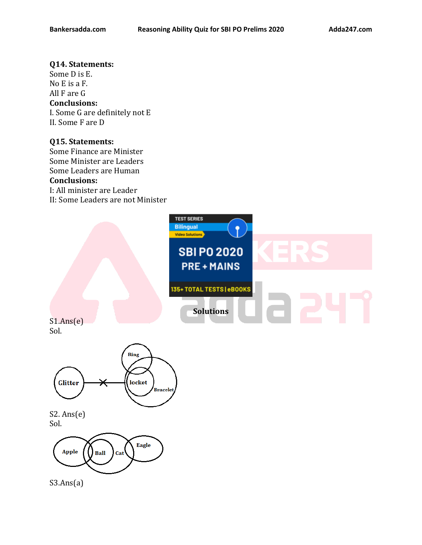### **Q14. Statements:**

Some D is E. No E is a F. All F are G **Conclusions:**  I. Some G are definitely not E II. Some F are D

## **Q15. Statements:**

Some Finance are Minister Some Minister are Leaders Some Leaders are Human **Conclusions:** I: All minister are Leader II: Some Leaders are not Minister



S1.Ans(e) Sol.



S2. Ans(e) Sol.



S3.Ans(a)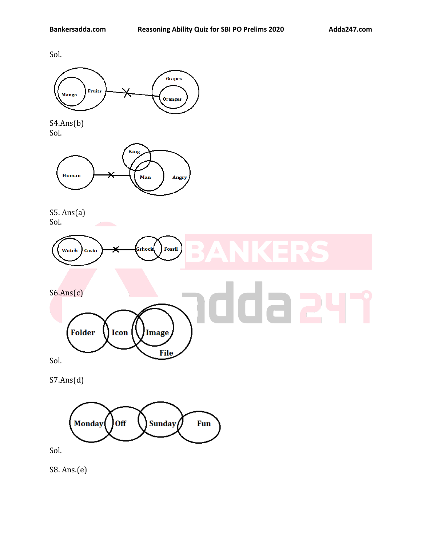Sol.



S4.Ans(b) Sol.



Icon

S5. Ans(a) Sol.



Sol.

S7.Ans(d)

**Folder** 



**Image** 

**File** 

Sol.

S8. Ans.(e)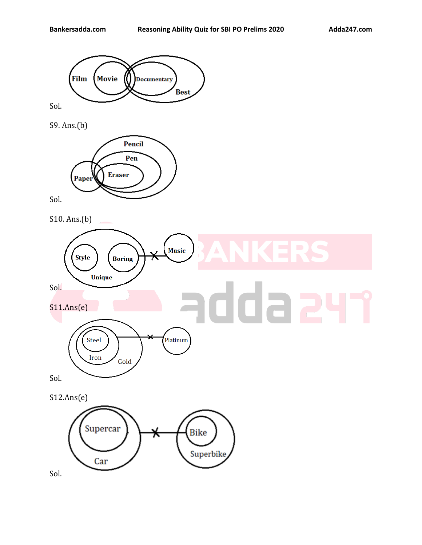

Sol.

S9. Ans.(b)



Sol.

S10. Ans.(b)



S12.Ans(e)